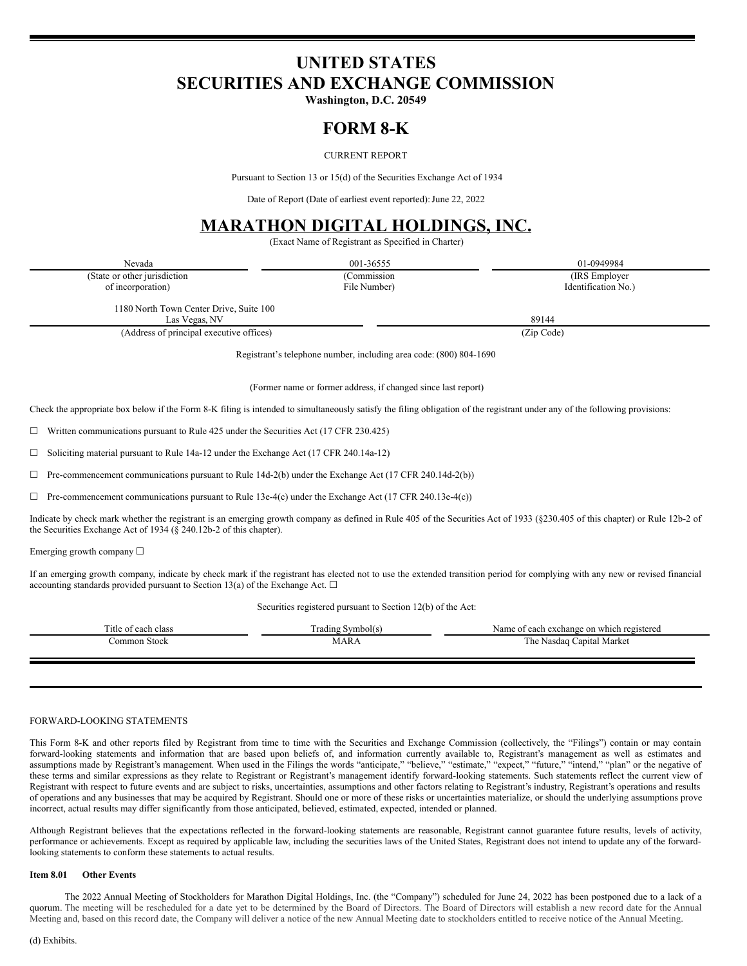## **UNITED STATES SECURITIES AND EXCHANGE COMMISSION**

**Washington, D.C. 20549**

### **FORM 8-K**

### CURRENT REPORT

Pursuant to Section 13 or 15(d) of the Securities Exchange Act of 1934

Date of Report (Date of earliest event reported): June 22, 2022

# **MARATHON DIGITAL HOLDINGS, INC.**

(Exact Name of Registrant as Specified in Charter)

| Nevada                                                             | 001-36555                                                     | 01-0949984          |  |  |
|--------------------------------------------------------------------|---------------------------------------------------------------|---------------------|--|--|
| (State or other jurisdiction                                       | (Commission                                                   | (IRS Employer)      |  |  |
| of incorporation)                                                  | File Number)                                                  | Identification No.) |  |  |
| 1180 North Town Center Drive, Suite 100<br>Las Vegas, NV           |                                                               | 89144               |  |  |
| (Address of principal executive offices)                           |                                                               | (Zip Code)          |  |  |
| Registrant's telephone number, including area code: (800) 804-1690 |                                                               |                     |  |  |
|                                                                    | (Former name or former address, if changed since last report) |                     |  |  |

Check the appropriate box below if the Form 8-K filing is intended to simultaneously satisfy the filing obligation of the registrant under any of the following provisions:

 $\Box$  Written communications pursuant to Rule 425 under the Securities Act (17 CFR 230.425)

☐ Soliciting material pursuant to Rule 14a-12 under the Exchange Act (17 CFR 240.14a-12)

 $\Box$  Pre-commencement communications pursuant to Rule 14d-2(b) under the Exchange Act (17 CFR 240.14d-2(b))

 $\Box$  Pre-commencement communications pursuant to Rule 13e-4(c) under the Exchange Act (17 CFR 240.13e-4(c))

Indicate by check mark whether the registrant is an emerging growth company as defined in Rule 405 of the Securities Act of 1933 (§230.405 of this chapter) or Rule 12b-2 of the Securities Exchange Act of 1934 (§ 240.12b-2 of this chapter).

Emerging growth company ☐

If an emerging growth company, indicate by check mark if the registrant has elected not to use the extended transition period for complying with any new or revised financial accounting standards provided pursuant to Section 13(a) of the Exchange Act.  $\square$ 

Securities registered pursuant to Section 12(b) of the Act:

| Title of each class | I rading Symbol(s) | Name of each exchange on which registered |
|---------------------|--------------------|-------------------------------------------|
| Stock<br>ommon      | MARA               | The Nasdaq Capital Market                 |
|                     |                    |                                           |

#### FORWARD-LOOKING STATEMENTS

This Form 8-K and other reports filed by Registrant from time to time with the Securities and Exchange Commission (collectively, the "Filings") contain or may contain forward-looking statements and information that are based upon beliefs of, and information currently available to, Registrant's management as well as estimates and assumptions made by Registrant's management. When used in the Filings the words "anticipate," "believe," "estimate," "expect," "future," "intend," "plan" or the negative of these terms and similar expressions as they relate to Registrant or Registrant's management identify forward-looking statements. Such statements reflect the current view of Registrant with respect to future events and are subject to risks, uncertainties, assumptions and other factors relating to Registrant's industry, Registrant's operations and results of operations and any businesses that may be acquired by Registrant. Should one or more of these risks or uncertainties materialize, or should the underlying assumptions prove incorrect, actual results may differ significantly from those anticipated, believed, estimated, expected, intended or planned.

Although Registrant believes that the expectations reflected in the forward-looking statements are reasonable, Registrant cannot guarantee future results, levels of activity, performance or achievements. Except as required by applicable law, including the securities laws of the United States, Registrant does not intend to update any of the forwardlooking statements to conform these statements to actual results.

#### **Item 8.01 Other Events**

The 2022 Annual Meeting of Stockholders for Marathon Digital Holdings, Inc. (the "Company") scheduled for June 24, 2022 has been postponed due to a lack of a quorum. The meeting will be rescheduled for a date yet to be determined by the Board of Directors. The Board of Directors will establish a new record date for the Annual Meeting and, based on this record date, the Company will deliver a notice of the new Annual Meeting date to stockholders entitled to receive notice of the Annual Meeting.